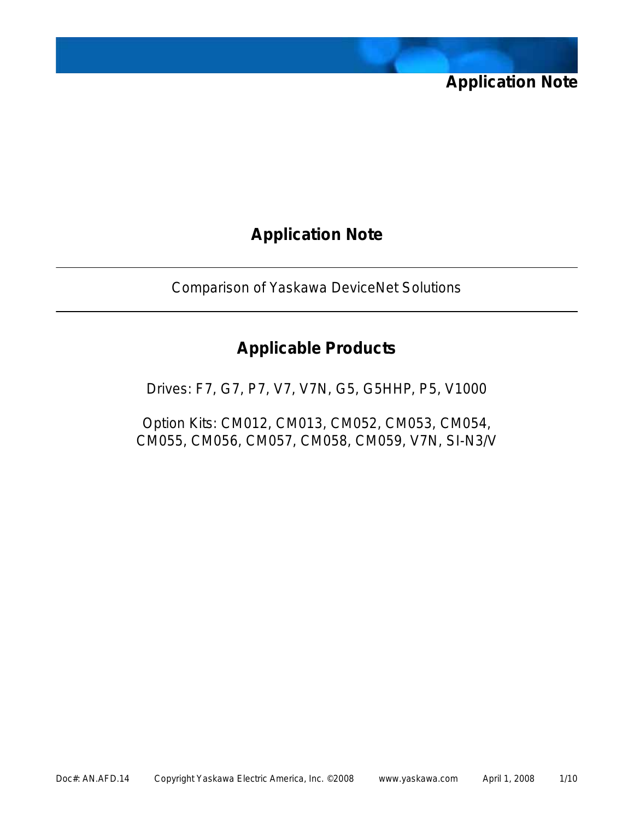

Comparison of Yaskawa DeviceNet Solutions

### **Applicable Products**

Drives: F7, G7, P7, V7, V7N, G5, G5HHP, P5, V1000

Option Kits: CM012, CM013, CM052, CM053, CM054, CM055, CM056, CM057, CM058, CM059, V7N, SI-N3/V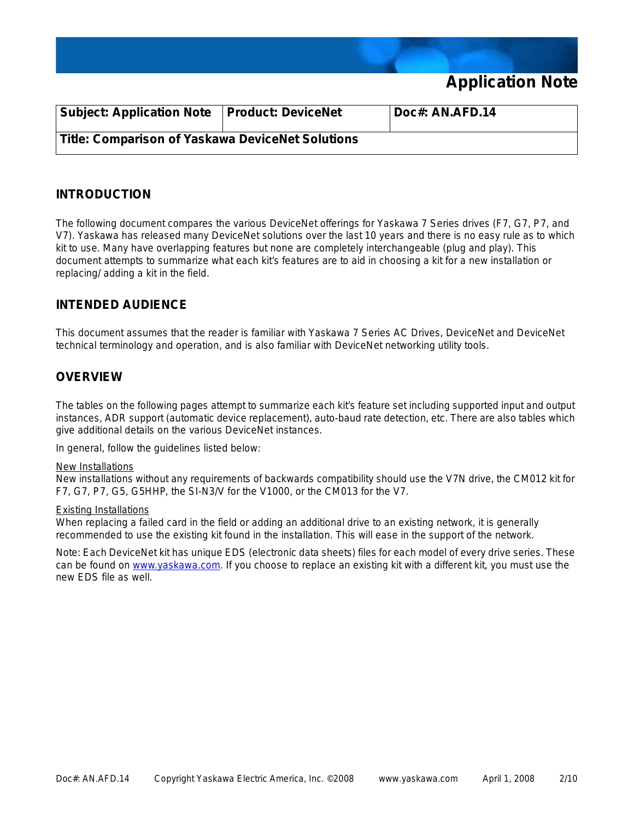

| <b>Subject: Application Note</b>                 | <b>Product: DeviceNet</b> | Doc#: AN.AFD.14 |
|--------------------------------------------------|---------------------------|-----------------|
| Title: Comparison of Yaskawa DeviceNet Solutions |                           |                 |

#### **INTRODUCTION**

The following document compares the various DeviceNet offerings for Yaskawa 7 Series drives (F7, G7, P7, and V7). Yaskawa has released many DeviceNet solutions over the last 10 years and there is no easy rule as to which kit to use. Many have overlapping features but none are completely interchangeable (plug and play). This document attempts to summarize what each kit's features are to aid in choosing a kit for a new installation or replacing/ adding a kit in the field.

### **INTENDED AUDIENCE**

This document assumes that the reader is familiar with Yaskawa 7 Series AC Drives, DeviceNet and DeviceNet technical terminology and operation, and is also familiar with DeviceNet networking utility tools.

#### **OVERVIEW**

The tables on the following pages attempt to summarize each kit's feature set including supported input and output instances, ADR support (automatic device replacement), auto-baud rate detection, etc. There are also tables which give additional details on the various DeviceNet instances.

In general, follow the guidelines listed below:

#### New Installations

New installations without any requirements of backwards compatibility should use the V7N drive, the CM012 kit for F7, G7, P7, G5, G5HHP, the SI-N3/V for the V1000, or the CM013 for the V7.

#### Existing Installations

When replacing a failed card in the field or adding an additional drive to an existing network, it is generally recommended to use the existing kit found in the installation. This will ease in the support of the network.

*Note: Each DeviceNet kit has unique EDS (electronic data sheets) files for each model of every drive series. These can be found on* www.yaskawa.com*. If you choose to replace an existing kit with a different kit, you must use the new EDS file as well.*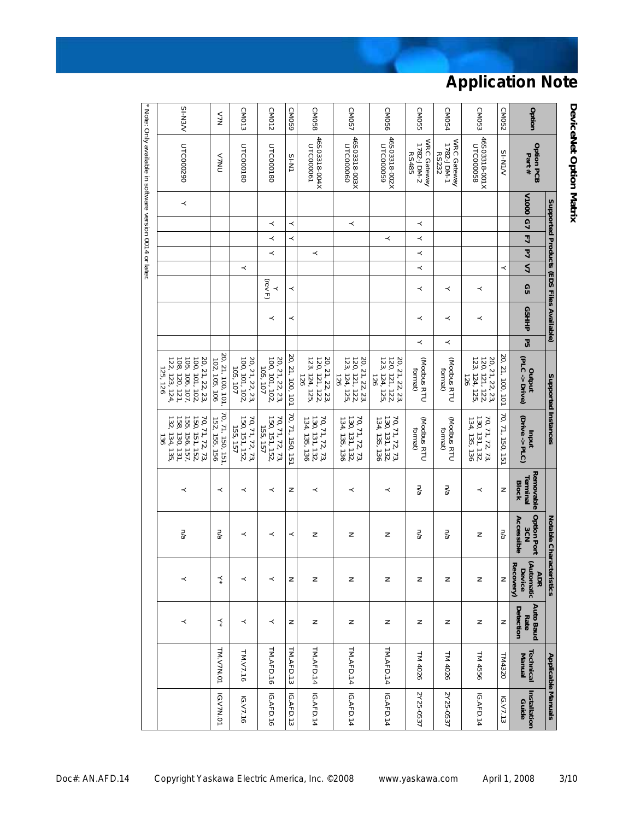|           |                                                           |          |         |                |         |                         |              | Supported Products (EDS Files Available) |         | Supported Instances                                                                                         |                                                                                                          |                                       | Notable Characteristics                 |                                                 |                                       | <b>Applicable Manuals</b> |                       |
|-----------|-----------------------------------------------------------|----------|---------|----------------|---------|-------------------------|--------------|------------------------------------------|---------|-------------------------------------------------------------------------------------------------------------|----------------------------------------------------------------------------------------------------------|---------------------------------------|-----------------------------------------|-------------------------------------------------|---------------------------------------|---------------------------|-----------------------|
| Option    | <b>Option PCB</b><br>Part#                                | V1000 G7 |         | $\overline{4}$ | 깈       | $\overline{\mathbf{z}}$ | GS           | G5HHP                                    | Ρ5      | (PLC -> Drive)<br>putput                                                                                    | (Drive -> PLC)<br>Inqni                                                                                  | Removable<br>Terminal<br><b>Block</b> | <b>Option Port</b><br>Accessible<br>3CN | (Automatic<br>Recovery)<br>Device<br><b>ADR</b> | <b>Auto Baud</b><br>Detection<br>Rate | Technical<br>Manual       | Installation<br>Guide |
| CM052     | $N/N+S$                                                   |          |         |                |         | ≺                       |              |                                          |         | 20, 21, 100, 101                                                                                            | 70, 71, 150, 151                                                                                         | z                                     | na                                      | z                                               | z                                     | TM4320                    | IGV7.13               |
| CM053     | 46S03318-001X<br>UTC000058                                |          |         |                |         |                         | ≺            | ≺                                        |         | 120, 121, 122,<br>123, 124, 125,<br>20, 21, 22, 23,<br>$-126$                                               | 130, 131, 132,<br>134, 135, 136<br>70, 71, 72, 73                                                        | ≺                                     | z                                       | z                                               | z                                     | TM 4556                   | IGAFD.14              |
| CM054     | WRC Gateway<br>1782-JDM-1<br>RS232                        |          |         |                |         |                         | ≺            | ≺                                        | $\prec$ | (Modbus RTU<br>format)                                                                                      | (Modbus RTU<br>format)                                                                                   | n/a                                   | n/a                                     | z                                               | z                                     | TM 4026                   | 2Y25-0537             |
| CM055     | WRC Gateway<br>1782-JDM-2<br><b>RS485</b>                 |          | ≺       | ≺              | $\prec$ | $\prec$                 | ≺            | ≺                                        | ≺       | (Modbus RTU<br>format)                                                                                      | (Modbus RTU<br>tormat)                                                                                   | n/a                                   | n/a                                     | z                                               | z                                     | TM 4026                   | 2Y25-0537             |
| CM056     | 46S03318-002X<br>UTC000059                                |          |         | ≺              |         |                         |              |                                          |         | 20, 21, 22, 23,<br>120, 121, 122,<br>123, 124, 125,<br>$\overline{126}$                                     | 70, 71, 72, 73,<br>130, 131, 132,<br>134, 135, 136                                                       | ≺                                     | z                                       | z                                               | z                                     | TM.AFD.14                 | IGAFD.14              |
| CM057     | 46S03318-003X<br>UTC000060                                |          | $\prec$ |                |         |                         |              |                                          |         | 20, 21, 22, 23,<br>120, 121, 122,<br>123, 124, 125,<br>126                                                  | 70, 71, 72, 73,<br>130, 131, 132,<br>134, 135, 136                                                       | ≺                                     | z                                       | z                                               | z                                     | TM.AFD.14                 | IG.AFD.14             |
| CM058     | 46S03318-004X<br>UTC000061                                |          |         |                | ≺       |                         |              |                                          |         | 120, 121, 122,<br>123, 124, 125,<br>20, 21, 22, 23,<br>$-82$                                                | 70, 71, 72, 73,<br>130, 131, 132,<br>134, 135, 136                                                       | ≺                                     | z                                       | z                                               | z                                     | TM.AFD.14                 | IGAFD.14              |
| CM059     | IN-IS                                                     |          | ≺       | ≺              |         |                         | ≺            | ≺                                        |         | 20, 21, 100, 101                                                                                            | 70, 71, 150, 151                                                                                         | z                                     | ≺                                       | z                                               | z                                     | TM.AFD.13                 | IGAFD.13              |
| CM012     | UTC000180                                                 |          | ≺       | ≺              | ≺       |                         | (rev F)<br>≺ | ≺                                        |         | 100, 101, 102,<br>20, 21, 22, 23,<br>105, 107                                                               | 150, 151, 152<br>70, 71, 72, 73,<br>155, 157                                                             | ≺                                     | ≺                                       | ≺                                               | ≺                                     | TM.AFD.16                 | IGAFD.16              |
| CM013     | UTC000180                                                 |          |         |                |         | ≺                       |              |                                          |         | 100, 101, 102,<br>20, 21, 22, 23,<br>105, 107                                                               | 150, 151, 152,<br>70, 71, 72, 73,<br>155, 157                                                            | ≺                                     | ≺                                       | ≺                                               | ≺                                     | TM.V7.16                  | IGV7.16               |
| N7V       | <b>NVV</b>                                                |          |         |                |         |                         |              |                                          |         | 20, 21, 100, 101,<br>102, 105, 106                                                                          | 70, 71, 150, 151,<br>152, 155, 156                                                                       | ≺                                     | n/a                                     | ⋨                                               | ⋨                                     | TM.V7N.01                 | <b>IGV7N.01</b>       |
| $NER$ -IS | UTC000290                                                 | ≺        |         |                |         |                         |              |                                          |         | $100, 101, 102,$<br>$105, 106, 107,$<br>$108, 120, 121,$<br>$122, 123, 124,$<br>20, 21, 22, 23,<br>125, 126 | 132, 134, 135<br>158, 130, 131,<br>155, 156, 157,<br>150, 151, 152,<br>70, 71, 72, 73,<br>$\frac{36}{2}$ | ≺                                     | n/a                                     | $\prec$                                         | ≺                                     |                           |                       |
|           | * Note: Only available in software version 0014 or later. |          |         |                |         |                         |              |                                          |         |                                                                                                             |                                                                                                          |                                       |                                         |                                                 |                                       |                           |                       |

**DeviceNet Option Matrix Option Option PCB Part # Supported Products (EDS Files Available)**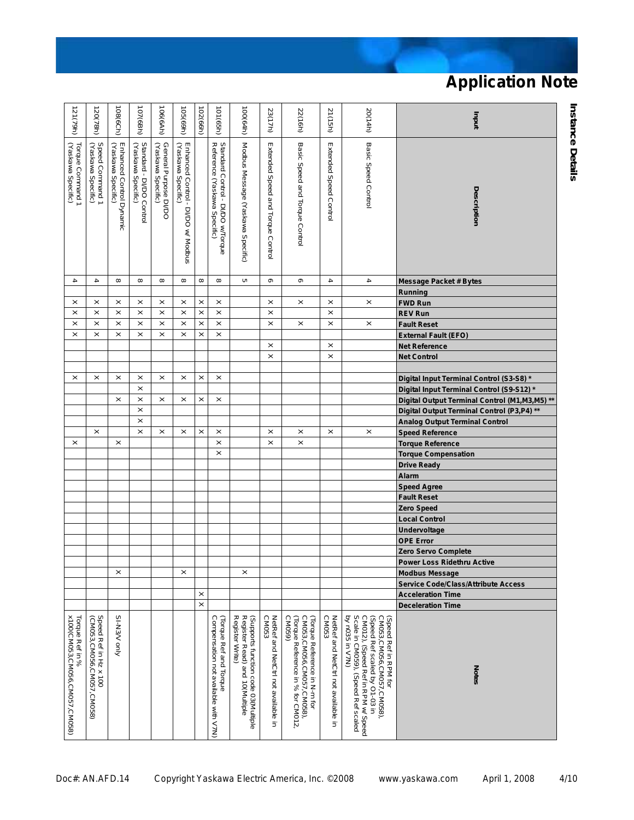| <b>Basic Speed Control</b><br>Modbus Message (Yaskawa Specific)<br>Basic Speed and Torque Control<br>Extended Speed Control<br>(Yaskawa Specific)<br>Speed Command 1<br>(Yaskawa Specific)<br>Standard - DI/DO Control<br>(Yaskawa Specific)<br>General Purpose DI/DO<br>(Yaskawa Specific)<br>Standard Control - DI/DO w/Torque<br>Reference (Yaskawa Specific)<br>Extended Speed and Torque Control<br>Enhanced Control Dynamic<br>(Yaskawa Specific)<br>Enhanced Control - DI/DO w/ Modbus<br>(Yaskawa Specific)<br>Torque Command 1<br>Description<br>$\blacktriangle$<br>$\infty$<br>$\infty$<br>$\infty$<br>$\infty$<br>$\sigma$<br>$\blacktriangle$<br>4<br>4<br>$\infty$<br>$\infty$<br>$\infty$<br>c<br><b>Message Packet # Bytes</b><br>Running<br>$\times$<br>$\times$<br>$\times$<br>$\times$<br>$\times$<br>$\times$<br>$\times$<br>$\times$<br>$\times$<br>$\times$<br>$\times$<br>$\times$<br><b>FWD Run</b><br>$\times$<br>$\times$<br>$\times$<br>$\times$<br>$\times$<br>$\times$<br>$\times$<br>$\times$<br>$\times$<br>$\times$<br><b>REV Run</b><br>$\times$<br>$\times$<br>$\times$<br>$\times$<br>$\times$<br>$\boldsymbol{\times}$<br>$\times$<br>$\times$<br>$\boldsymbol{\times}$<br>$\times$<br>$\boldsymbol{\times}$<br>$\times$<br><b>Fault Reset</b><br>$\times$<br>$\times$<br>$\times$<br>$\times$<br>$\times$<br>$\times$<br>$\times$<br>$\times$<br><b>External Fault (EFO)</b><br>$\times$<br>$\times$<br><b>Net Reference</b><br>$\times$<br>$\times$<br><b>Net Control</b><br>$\times$<br>$\times$<br>$\times$<br>$\times$<br>$\times$<br>$\times$<br>$\times$<br>$\times$<br>Digital Input Terminal Control (S3-S8)*<br>$\times$<br>Digital Input Terminal Control (S9-S12)*<br>$\times$<br>$\times$<br>$\times$<br>$\times$<br>$\times$<br>$\times$<br>Digital Output Terminal Control (M1, M3, M5) **<br>$\times$<br>Digital Output Terminal Control (P3,P4) **<br>$\times$<br><b>Analog Output Terminal Control</b><br>$\times$<br>$\times$<br>$\times$<br>$\boldsymbol{\times}$<br>$\boldsymbol{\times}$<br>$\times$<br>$\times$<br>$\times$<br>$\times$<br>$\times$<br><b>Speed Reference</b><br>$\times$<br>$\times$<br>$\times$<br>$\pmb{\times}$<br>$\times$<br><b>Torque Reference</b><br>$\times$<br><b>Torque Compensation</b><br><b>Drive Ready</b><br>Alarm<br><b>Speed Agree</b><br><b>Fault Reset</b><br>Zero Speed<br><b>Local Control</b><br><b>Undervoltage</b><br><b>OPE Error</b><br>Zero Servo Complete<br><b>Power Loss Ridethru Active</b><br>×<br>"<br>×<br><b>Modbus Message</b><br><b>Service Code/Class/Attribute Access</b><br>$\times$<br><b>Acceleration Time</b><br>$\times$<br><b>Deceleration Time</b><br>x100(CM053,CM056,CM057,CM058)<br>by n035 in V7N)<br>Speed Ref in Hz x 100<br>(CM053,CM056,CM057,CM058)<br>SI-N3/V only<br>Register Write)<br>CM053<br>(Torque Reference in N-m for<br>CM053,CM056,CM057,CM058),<br>CM053<br>CM012), (Speed Ref in RPM w/ Speed<br>Scale in CM059), (Speed Ref scaled<br>Compensation not available with V7N)<br>Register Read) and 10(Multiple<br>(Supports function code 03(Multiple<br>NetRef and NetCtrl not available in<br>(Torque Reference in % for CM012,<br>CM059)<br>Netter and NetCtrin of assigner in<br>(Speed Ref scaled by O1-03 in<br>CM053,CM056,CM057,CM058),<br>Torque Ref in %<br>Torque Ref and Torque<br>Speed Ref in RPM for<br><b>Notes</b> | 121(79h) | 120(78h) | 108(6Ch) | 107(6Bh) | 106(6Ah) | $(169)$ $501$ | 102(66h) | 101 (65h) | 100(64h) | 23(17h) | 22(16h) | 21(15h) | 20(14h) | uput |
|--------------------------------------------------------------------------------------------------------------------------------------------------------------------------------------------------------------------------------------------------------------------------------------------------------------------------------------------------------------------------------------------------------------------------------------------------------------------------------------------------------------------------------------------------------------------------------------------------------------------------------------------------------------------------------------------------------------------------------------------------------------------------------------------------------------------------------------------------------------------------------------------------------------------------------------------------------------------------------------------------------------------------------------------------------------------------------------------------------------------------------------------------------------------------------------------------------------------------------------------------------------------------------------------------------------------------------------------------------------------------------------------------------------------------------------------------------------------------------------------------------------------------------------------------------------------------------------------------------------------------------------------------------------------------------------------------------------------------------------------------------------------------------------------------------------------------------------------------------------------------------------------------------------------------------------------------------------------------------------------------------------------------------------------------------------------------------------------------------------------------------------------------------------------------------------------------------------------------------------------------------------------------------------------------------------------------------------------------------------------------------------------------------------------------------------------------------------------------------------------------------------------------------------------------------------------------------------------------------------------------------------------------------------------------------------------------------------------------------------------------------------------------------------------------------------------------------------------------------------------------------------------------------------------------------------------------------------------------------------------------------------------------------------------------------------------------------------------------------------------------------------------------------------------------------------------------------------------------------------------------------------------------------------------------------------------------------------------------------------------------------------|----------|----------|----------|----------|----------|---------------|----------|-----------|----------|---------|---------|---------|---------|------|
|                                                                                                                                                                                                                                                                                                                                                                                                                                                                                                                                                                                                                                                                                                                                                                                                                                                                                                                                                                                                                                                                                                                                                                                                                                                                                                                                                                                                                                                                                                                                                                                                                                                                                                                                                                                                                                                                                                                                                                                                                                                                                                                                                                                                                                                                                                                                                                                                                                                                                                                                                                                                                                                                                                                                                                                                                                                                                                                                                                                                                                                                                                                                                                                                                                                                                                                                                                                      |          |          |          |          |          |               |          |           |          |         |         |         |         |      |
|                                                                                                                                                                                                                                                                                                                                                                                                                                                                                                                                                                                                                                                                                                                                                                                                                                                                                                                                                                                                                                                                                                                                                                                                                                                                                                                                                                                                                                                                                                                                                                                                                                                                                                                                                                                                                                                                                                                                                                                                                                                                                                                                                                                                                                                                                                                                                                                                                                                                                                                                                                                                                                                                                                                                                                                                                                                                                                                                                                                                                                                                                                                                                                                                                                                                                                                                                                                      |          |          |          |          |          |               |          |           |          |         |         |         |         |      |
|                                                                                                                                                                                                                                                                                                                                                                                                                                                                                                                                                                                                                                                                                                                                                                                                                                                                                                                                                                                                                                                                                                                                                                                                                                                                                                                                                                                                                                                                                                                                                                                                                                                                                                                                                                                                                                                                                                                                                                                                                                                                                                                                                                                                                                                                                                                                                                                                                                                                                                                                                                                                                                                                                                                                                                                                                                                                                                                                                                                                                                                                                                                                                                                                                                                                                                                                                                                      |          |          |          |          |          |               |          |           |          |         |         |         |         |      |
|                                                                                                                                                                                                                                                                                                                                                                                                                                                                                                                                                                                                                                                                                                                                                                                                                                                                                                                                                                                                                                                                                                                                                                                                                                                                                                                                                                                                                                                                                                                                                                                                                                                                                                                                                                                                                                                                                                                                                                                                                                                                                                                                                                                                                                                                                                                                                                                                                                                                                                                                                                                                                                                                                                                                                                                                                                                                                                                                                                                                                                                                                                                                                                                                                                                                                                                                                                                      |          |          |          |          |          |               |          |           |          |         |         |         |         |      |
|                                                                                                                                                                                                                                                                                                                                                                                                                                                                                                                                                                                                                                                                                                                                                                                                                                                                                                                                                                                                                                                                                                                                                                                                                                                                                                                                                                                                                                                                                                                                                                                                                                                                                                                                                                                                                                                                                                                                                                                                                                                                                                                                                                                                                                                                                                                                                                                                                                                                                                                                                                                                                                                                                                                                                                                                                                                                                                                                                                                                                                                                                                                                                                                                                                                                                                                                                                                      |          |          |          |          |          |               |          |           |          |         |         |         |         |      |
|                                                                                                                                                                                                                                                                                                                                                                                                                                                                                                                                                                                                                                                                                                                                                                                                                                                                                                                                                                                                                                                                                                                                                                                                                                                                                                                                                                                                                                                                                                                                                                                                                                                                                                                                                                                                                                                                                                                                                                                                                                                                                                                                                                                                                                                                                                                                                                                                                                                                                                                                                                                                                                                                                                                                                                                                                                                                                                                                                                                                                                                                                                                                                                                                                                                                                                                                                                                      |          |          |          |          |          |               |          |           |          |         |         |         |         |      |
|                                                                                                                                                                                                                                                                                                                                                                                                                                                                                                                                                                                                                                                                                                                                                                                                                                                                                                                                                                                                                                                                                                                                                                                                                                                                                                                                                                                                                                                                                                                                                                                                                                                                                                                                                                                                                                                                                                                                                                                                                                                                                                                                                                                                                                                                                                                                                                                                                                                                                                                                                                                                                                                                                                                                                                                                                                                                                                                                                                                                                                                                                                                                                                                                                                                                                                                                                                                      |          |          |          |          |          |               |          |           |          |         |         |         |         |      |
|                                                                                                                                                                                                                                                                                                                                                                                                                                                                                                                                                                                                                                                                                                                                                                                                                                                                                                                                                                                                                                                                                                                                                                                                                                                                                                                                                                                                                                                                                                                                                                                                                                                                                                                                                                                                                                                                                                                                                                                                                                                                                                                                                                                                                                                                                                                                                                                                                                                                                                                                                                                                                                                                                                                                                                                                                                                                                                                                                                                                                                                                                                                                                                                                                                                                                                                                                                                      |          |          |          |          |          |               |          |           |          |         |         |         |         |      |
|                                                                                                                                                                                                                                                                                                                                                                                                                                                                                                                                                                                                                                                                                                                                                                                                                                                                                                                                                                                                                                                                                                                                                                                                                                                                                                                                                                                                                                                                                                                                                                                                                                                                                                                                                                                                                                                                                                                                                                                                                                                                                                                                                                                                                                                                                                                                                                                                                                                                                                                                                                                                                                                                                                                                                                                                                                                                                                                                                                                                                                                                                                                                                                                                                                                                                                                                                                                      |          |          |          |          |          |               |          |           |          |         |         |         |         |      |
|                                                                                                                                                                                                                                                                                                                                                                                                                                                                                                                                                                                                                                                                                                                                                                                                                                                                                                                                                                                                                                                                                                                                                                                                                                                                                                                                                                                                                                                                                                                                                                                                                                                                                                                                                                                                                                                                                                                                                                                                                                                                                                                                                                                                                                                                                                                                                                                                                                                                                                                                                                                                                                                                                                                                                                                                                                                                                                                                                                                                                                                                                                                                                                                                                                                                                                                                                                                      |          |          |          |          |          |               |          |           |          |         |         |         |         |      |
|                                                                                                                                                                                                                                                                                                                                                                                                                                                                                                                                                                                                                                                                                                                                                                                                                                                                                                                                                                                                                                                                                                                                                                                                                                                                                                                                                                                                                                                                                                                                                                                                                                                                                                                                                                                                                                                                                                                                                                                                                                                                                                                                                                                                                                                                                                                                                                                                                                                                                                                                                                                                                                                                                                                                                                                                                                                                                                                                                                                                                                                                                                                                                                                                                                                                                                                                                                                      |          |          |          |          |          |               |          |           |          |         |         |         |         |      |
|                                                                                                                                                                                                                                                                                                                                                                                                                                                                                                                                                                                                                                                                                                                                                                                                                                                                                                                                                                                                                                                                                                                                                                                                                                                                                                                                                                                                                                                                                                                                                                                                                                                                                                                                                                                                                                                                                                                                                                                                                                                                                                                                                                                                                                                                                                                                                                                                                                                                                                                                                                                                                                                                                                                                                                                                                                                                                                                                                                                                                                                                                                                                                                                                                                                                                                                                                                                      |          |          |          |          |          |               |          |           |          |         |         |         |         |      |
|                                                                                                                                                                                                                                                                                                                                                                                                                                                                                                                                                                                                                                                                                                                                                                                                                                                                                                                                                                                                                                                                                                                                                                                                                                                                                                                                                                                                                                                                                                                                                                                                                                                                                                                                                                                                                                                                                                                                                                                                                                                                                                                                                                                                                                                                                                                                                                                                                                                                                                                                                                                                                                                                                                                                                                                                                                                                                                                                                                                                                                                                                                                                                                                                                                                                                                                                                                                      |          |          |          |          |          |               |          |           |          |         |         |         |         |      |
|                                                                                                                                                                                                                                                                                                                                                                                                                                                                                                                                                                                                                                                                                                                                                                                                                                                                                                                                                                                                                                                                                                                                                                                                                                                                                                                                                                                                                                                                                                                                                                                                                                                                                                                                                                                                                                                                                                                                                                                                                                                                                                                                                                                                                                                                                                                                                                                                                                                                                                                                                                                                                                                                                                                                                                                                                                                                                                                                                                                                                                                                                                                                                                                                                                                                                                                                                                                      |          |          |          |          |          |               |          |           |          |         |         |         |         |      |
|                                                                                                                                                                                                                                                                                                                                                                                                                                                                                                                                                                                                                                                                                                                                                                                                                                                                                                                                                                                                                                                                                                                                                                                                                                                                                                                                                                                                                                                                                                                                                                                                                                                                                                                                                                                                                                                                                                                                                                                                                                                                                                                                                                                                                                                                                                                                                                                                                                                                                                                                                                                                                                                                                                                                                                                                                                                                                                                                                                                                                                                                                                                                                                                                                                                                                                                                                                                      |          |          |          |          |          |               |          |           |          |         |         |         |         |      |
|                                                                                                                                                                                                                                                                                                                                                                                                                                                                                                                                                                                                                                                                                                                                                                                                                                                                                                                                                                                                                                                                                                                                                                                                                                                                                                                                                                                                                                                                                                                                                                                                                                                                                                                                                                                                                                                                                                                                                                                                                                                                                                                                                                                                                                                                                                                                                                                                                                                                                                                                                                                                                                                                                                                                                                                                                                                                                                                                                                                                                                                                                                                                                                                                                                                                                                                                                                                      |          |          |          |          |          |               |          |           |          |         |         |         |         |      |
|                                                                                                                                                                                                                                                                                                                                                                                                                                                                                                                                                                                                                                                                                                                                                                                                                                                                                                                                                                                                                                                                                                                                                                                                                                                                                                                                                                                                                                                                                                                                                                                                                                                                                                                                                                                                                                                                                                                                                                                                                                                                                                                                                                                                                                                                                                                                                                                                                                                                                                                                                                                                                                                                                                                                                                                                                                                                                                                                                                                                                                                                                                                                                                                                                                                                                                                                                                                      |          |          |          |          |          |               |          |           |          |         |         |         |         |      |
|                                                                                                                                                                                                                                                                                                                                                                                                                                                                                                                                                                                                                                                                                                                                                                                                                                                                                                                                                                                                                                                                                                                                                                                                                                                                                                                                                                                                                                                                                                                                                                                                                                                                                                                                                                                                                                                                                                                                                                                                                                                                                                                                                                                                                                                                                                                                                                                                                                                                                                                                                                                                                                                                                                                                                                                                                                                                                                                                                                                                                                                                                                                                                                                                                                                                                                                                                                                      |          |          |          |          |          |               |          |           |          |         |         |         |         |      |
|                                                                                                                                                                                                                                                                                                                                                                                                                                                                                                                                                                                                                                                                                                                                                                                                                                                                                                                                                                                                                                                                                                                                                                                                                                                                                                                                                                                                                                                                                                                                                                                                                                                                                                                                                                                                                                                                                                                                                                                                                                                                                                                                                                                                                                                                                                                                                                                                                                                                                                                                                                                                                                                                                                                                                                                                                                                                                                                                                                                                                                                                                                                                                                                                                                                                                                                                                                                      |          |          |          |          |          |               |          |           |          |         |         |         |         |      |
|                                                                                                                                                                                                                                                                                                                                                                                                                                                                                                                                                                                                                                                                                                                                                                                                                                                                                                                                                                                                                                                                                                                                                                                                                                                                                                                                                                                                                                                                                                                                                                                                                                                                                                                                                                                                                                                                                                                                                                                                                                                                                                                                                                                                                                                                                                                                                                                                                                                                                                                                                                                                                                                                                                                                                                                                                                                                                                                                                                                                                                                                                                                                                                                                                                                                                                                                                                                      |          |          |          |          |          |               |          |           |          |         |         |         |         |      |
|                                                                                                                                                                                                                                                                                                                                                                                                                                                                                                                                                                                                                                                                                                                                                                                                                                                                                                                                                                                                                                                                                                                                                                                                                                                                                                                                                                                                                                                                                                                                                                                                                                                                                                                                                                                                                                                                                                                                                                                                                                                                                                                                                                                                                                                                                                                                                                                                                                                                                                                                                                                                                                                                                                                                                                                                                                                                                                                                                                                                                                                                                                                                                                                                                                                                                                                                                                                      |          |          |          |          |          |               |          |           |          |         |         |         |         |      |
|                                                                                                                                                                                                                                                                                                                                                                                                                                                                                                                                                                                                                                                                                                                                                                                                                                                                                                                                                                                                                                                                                                                                                                                                                                                                                                                                                                                                                                                                                                                                                                                                                                                                                                                                                                                                                                                                                                                                                                                                                                                                                                                                                                                                                                                                                                                                                                                                                                                                                                                                                                                                                                                                                                                                                                                                                                                                                                                                                                                                                                                                                                                                                                                                                                                                                                                                                                                      |          |          |          |          |          |               |          |           |          |         |         |         |         |      |
|                                                                                                                                                                                                                                                                                                                                                                                                                                                                                                                                                                                                                                                                                                                                                                                                                                                                                                                                                                                                                                                                                                                                                                                                                                                                                                                                                                                                                                                                                                                                                                                                                                                                                                                                                                                                                                                                                                                                                                                                                                                                                                                                                                                                                                                                                                                                                                                                                                                                                                                                                                                                                                                                                                                                                                                                                                                                                                                                                                                                                                                                                                                                                                                                                                                                                                                                                                                      |          |          |          |          |          |               |          |           |          |         |         |         |         |      |
|                                                                                                                                                                                                                                                                                                                                                                                                                                                                                                                                                                                                                                                                                                                                                                                                                                                                                                                                                                                                                                                                                                                                                                                                                                                                                                                                                                                                                                                                                                                                                                                                                                                                                                                                                                                                                                                                                                                                                                                                                                                                                                                                                                                                                                                                                                                                                                                                                                                                                                                                                                                                                                                                                                                                                                                                                                                                                                                                                                                                                                                                                                                                                                                                                                                                                                                                                                                      |          |          |          |          |          |               |          |           |          |         |         |         |         |      |
|                                                                                                                                                                                                                                                                                                                                                                                                                                                                                                                                                                                                                                                                                                                                                                                                                                                                                                                                                                                                                                                                                                                                                                                                                                                                                                                                                                                                                                                                                                                                                                                                                                                                                                                                                                                                                                                                                                                                                                                                                                                                                                                                                                                                                                                                                                                                                                                                                                                                                                                                                                                                                                                                                                                                                                                                                                                                                                                                                                                                                                                                                                                                                                                                                                                                                                                                                                                      |          |          |          |          |          |               |          |           |          |         |         |         |         |      |
|                                                                                                                                                                                                                                                                                                                                                                                                                                                                                                                                                                                                                                                                                                                                                                                                                                                                                                                                                                                                                                                                                                                                                                                                                                                                                                                                                                                                                                                                                                                                                                                                                                                                                                                                                                                                                                                                                                                                                                                                                                                                                                                                                                                                                                                                                                                                                                                                                                                                                                                                                                                                                                                                                                                                                                                                                                                                                                                                                                                                                                                                                                                                                                                                                                                                                                                                                                                      |          |          |          |          |          |               |          |           |          |         |         |         |         |      |
|                                                                                                                                                                                                                                                                                                                                                                                                                                                                                                                                                                                                                                                                                                                                                                                                                                                                                                                                                                                                                                                                                                                                                                                                                                                                                                                                                                                                                                                                                                                                                                                                                                                                                                                                                                                                                                                                                                                                                                                                                                                                                                                                                                                                                                                                                                                                                                                                                                                                                                                                                                                                                                                                                                                                                                                                                                                                                                                                                                                                                                                                                                                                                                                                                                                                                                                                                                                      |          |          |          |          |          |               |          |           |          |         |         |         |         |      |
|                                                                                                                                                                                                                                                                                                                                                                                                                                                                                                                                                                                                                                                                                                                                                                                                                                                                                                                                                                                                                                                                                                                                                                                                                                                                                                                                                                                                                                                                                                                                                                                                                                                                                                                                                                                                                                                                                                                                                                                                                                                                                                                                                                                                                                                                                                                                                                                                                                                                                                                                                                                                                                                                                                                                                                                                                                                                                                                                                                                                                                                                                                                                                                                                                                                                                                                                                                                      |          |          |          |          |          |               |          |           |          |         |         |         |         |      |
|                                                                                                                                                                                                                                                                                                                                                                                                                                                                                                                                                                                                                                                                                                                                                                                                                                                                                                                                                                                                                                                                                                                                                                                                                                                                                                                                                                                                                                                                                                                                                                                                                                                                                                                                                                                                                                                                                                                                                                                                                                                                                                                                                                                                                                                                                                                                                                                                                                                                                                                                                                                                                                                                                                                                                                                                                                                                                                                                                                                                                                                                                                                                                                                                                                                                                                                                                                                      |          |          |          |          |          |               |          |           |          |         |         |         |         |      |
|                                                                                                                                                                                                                                                                                                                                                                                                                                                                                                                                                                                                                                                                                                                                                                                                                                                                                                                                                                                                                                                                                                                                                                                                                                                                                                                                                                                                                                                                                                                                                                                                                                                                                                                                                                                                                                                                                                                                                                                                                                                                                                                                                                                                                                                                                                                                                                                                                                                                                                                                                                                                                                                                                                                                                                                                                                                                                                                                                                                                                                                                                                                                                                                                                                                                                                                                                                                      |          |          |          |          |          |               |          |           |          |         |         |         |         |      |
|                                                                                                                                                                                                                                                                                                                                                                                                                                                                                                                                                                                                                                                                                                                                                                                                                                                                                                                                                                                                                                                                                                                                                                                                                                                                                                                                                                                                                                                                                                                                                                                                                                                                                                                                                                                                                                                                                                                                                                                                                                                                                                                                                                                                                                                                                                                                                                                                                                                                                                                                                                                                                                                                                                                                                                                                                                                                                                                                                                                                                                                                                                                                                                                                                                                                                                                                                                                      |          |          |          |          |          |               |          |           |          |         |         |         |         |      |
|                                                                                                                                                                                                                                                                                                                                                                                                                                                                                                                                                                                                                                                                                                                                                                                                                                                                                                                                                                                                                                                                                                                                                                                                                                                                                                                                                                                                                                                                                                                                                                                                                                                                                                                                                                                                                                                                                                                                                                                                                                                                                                                                                                                                                                                                                                                                                                                                                                                                                                                                                                                                                                                                                                                                                                                                                                                                                                                                                                                                                                                                                                                                                                                                                                                                                                                                                                                      |          |          |          |          |          |               |          |           |          |         |         |         |         |      |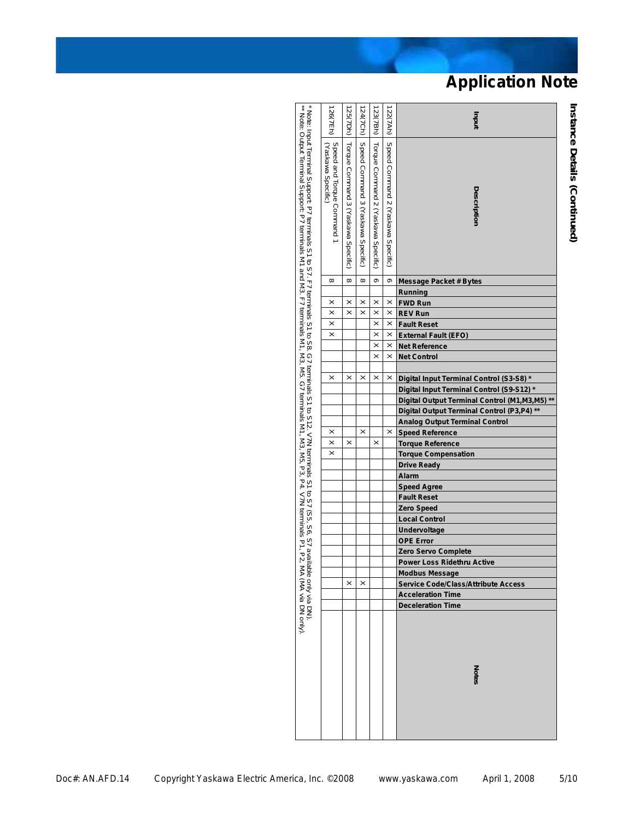| * Note: Input Terminal Support: P7 terminals S1 to S7. F7 terminals S1 to S8. G7 terminals S1 to S12. V7N terminals S1 to S7 (S5, S6, S7 availats P1, P2, M<br>** Note: Output Terminal Support: P7 terminals M1 and M3. F7 termi<br>Speed Command 3 (Yaskawa Specific)<br>Torque Command 3 (Yaskawa Specific)<br>Torque Command 2 (Yaskawa Specific)<br>Speed Command 2 (Yaskawa Specific)<br>Speed and Torque Command 1<br>Yaskawa Specific)<br>Description<br>$\infty$<br>$\infty$<br>თ<br>$\infty$<br>თ<br><b>Message Packet # Bytes</b><br>Running<br>$\times$<br>$\times$<br>×<br>×<br>×<br><b>FWD Run</b><br>$\times$<br>$\times$<br>$\times$<br><b>REV Run</b><br>$\times$<br>×<br>$\times$<br>$\times$<br>$\times$<br><b>Fault Reset</b><br>$\times$<br>$\times$<br>$\times$<br><b>External Fault (EFO)</b><br>$\times$<br>$\times$<br><b>Net Reference</b><br>$\times$<br>$\times$<br><b>Net Control</b><br>$\times$<br>×<br>$\times$<br>×<br>×<br>Digital Input Terminal Control (S3-S8)*<br>Digital Input Terminal Control (S9-S12)*<br>Digital Output Terminal Control (M1, M3, M5) **<br>Digital Output Terminal Control (P3,P4) **<br><b>Analog Output Terminal Control</b><br>$\times$<br>$\times$<br>×<br><b>Speed Reference</b><br>$\times$<br>$\times$<br>$\times$<br><b>Torque Reference</b><br>$\pmb{\times}$<br><b>Torque Compensation</b><br><b>Drive Ready</b><br><b>Alarm</b><br><b>Speed Agree</b><br><b>Fault Reset</b><br>Zero Speed<br><b>Local Control</b><br>Undervoltage<br><b>OPE Error</b><br>Zero Servo Complete<br><b>Power Loss Ridethru Active</b><br>MA Via DN).<br>Phe only via DN).<br><b>Modbus Message</b><br>×<br>$\times$<br><b>Service Code/Class/Attribute Access</b><br><b>Acceleration Time</b><br><b>Deceleration Time</b><br><b>Notes</b> |  | 26(7Eh) | 125(7Dh) | 124(7Ch) | 123(7Bh) | 122(7Ah) | Inqni |
|----------------------------------------------------------------------------------------------------------------------------------------------------------------------------------------------------------------------------------------------------------------------------------------------------------------------------------------------------------------------------------------------------------------------------------------------------------------------------------------------------------------------------------------------------------------------------------------------------------------------------------------------------------------------------------------------------------------------------------------------------------------------------------------------------------------------------------------------------------------------------------------------------------------------------------------------------------------------------------------------------------------------------------------------------------------------------------------------------------------------------------------------------------------------------------------------------------------------------------------------------------------------------------------------------------------------------------------------------------------------------------------------------------------------------------------------------------------------------------------------------------------------------------------------------------------------------------------------------------------------------------------------------------------------------------------------------------------------------------------------------------------------------------------------|--|---------|----------|----------|----------|----------|-------|
|                                                                                                                                                                                                                                                                                                                                                                                                                                                                                                                                                                                                                                                                                                                                                                                                                                                                                                                                                                                                                                                                                                                                                                                                                                                                                                                                                                                                                                                                                                                                                                                                                                                                                                                                                                                              |  |         |          |          |          |          |       |
|                                                                                                                                                                                                                                                                                                                                                                                                                                                                                                                                                                                                                                                                                                                                                                                                                                                                                                                                                                                                                                                                                                                                                                                                                                                                                                                                                                                                                                                                                                                                                                                                                                                                                                                                                                                              |  |         |          |          |          |          |       |
|                                                                                                                                                                                                                                                                                                                                                                                                                                                                                                                                                                                                                                                                                                                                                                                                                                                                                                                                                                                                                                                                                                                                                                                                                                                                                                                                                                                                                                                                                                                                                                                                                                                                                                                                                                                              |  |         |          |          |          |          |       |
|                                                                                                                                                                                                                                                                                                                                                                                                                                                                                                                                                                                                                                                                                                                                                                                                                                                                                                                                                                                                                                                                                                                                                                                                                                                                                                                                                                                                                                                                                                                                                                                                                                                                                                                                                                                              |  |         |          |          |          |          |       |
|                                                                                                                                                                                                                                                                                                                                                                                                                                                                                                                                                                                                                                                                                                                                                                                                                                                                                                                                                                                                                                                                                                                                                                                                                                                                                                                                                                                                                                                                                                                                                                                                                                                                                                                                                                                              |  |         |          |          |          |          |       |
|                                                                                                                                                                                                                                                                                                                                                                                                                                                                                                                                                                                                                                                                                                                                                                                                                                                                                                                                                                                                                                                                                                                                                                                                                                                                                                                                                                                                                                                                                                                                                                                                                                                                                                                                                                                              |  |         |          |          |          |          |       |
|                                                                                                                                                                                                                                                                                                                                                                                                                                                                                                                                                                                                                                                                                                                                                                                                                                                                                                                                                                                                                                                                                                                                                                                                                                                                                                                                                                                                                                                                                                                                                                                                                                                                                                                                                                                              |  |         |          |          |          |          |       |
|                                                                                                                                                                                                                                                                                                                                                                                                                                                                                                                                                                                                                                                                                                                                                                                                                                                                                                                                                                                                                                                                                                                                                                                                                                                                                                                                                                                                                                                                                                                                                                                                                                                                                                                                                                                              |  |         |          |          |          |          |       |
|                                                                                                                                                                                                                                                                                                                                                                                                                                                                                                                                                                                                                                                                                                                                                                                                                                                                                                                                                                                                                                                                                                                                                                                                                                                                                                                                                                                                                                                                                                                                                                                                                                                                                                                                                                                              |  |         |          |          |          |          |       |
|                                                                                                                                                                                                                                                                                                                                                                                                                                                                                                                                                                                                                                                                                                                                                                                                                                                                                                                                                                                                                                                                                                                                                                                                                                                                                                                                                                                                                                                                                                                                                                                                                                                                                                                                                                                              |  |         |          |          |          |          |       |
|                                                                                                                                                                                                                                                                                                                                                                                                                                                                                                                                                                                                                                                                                                                                                                                                                                                                                                                                                                                                                                                                                                                                                                                                                                                                                                                                                                                                                                                                                                                                                                                                                                                                                                                                                                                              |  |         |          |          |          |          |       |
|                                                                                                                                                                                                                                                                                                                                                                                                                                                                                                                                                                                                                                                                                                                                                                                                                                                                                                                                                                                                                                                                                                                                                                                                                                                                                                                                                                                                                                                                                                                                                                                                                                                                                                                                                                                              |  |         |          |          |          |          |       |
|                                                                                                                                                                                                                                                                                                                                                                                                                                                                                                                                                                                                                                                                                                                                                                                                                                                                                                                                                                                                                                                                                                                                                                                                                                                                                                                                                                                                                                                                                                                                                                                                                                                                                                                                                                                              |  |         |          |          |          |          |       |
|                                                                                                                                                                                                                                                                                                                                                                                                                                                                                                                                                                                                                                                                                                                                                                                                                                                                                                                                                                                                                                                                                                                                                                                                                                                                                                                                                                                                                                                                                                                                                                                                                                                                                                                                                                                              |  |         |          |          |          |          |       |
|                                                                                                                                                                                                                                                                                                                                                                                                                                                                                                                                                                                                                                                                                                                                                                                                                                                                                                                                                                                                                                                                                                                                                                                                                                                                                                                                                                                                                                                                                                                                                                                                                                                                                                                                                                                              |  |         |          |          |          |          |       |
|                                                                                                                                                                                                                                                                                                                                                                                                                                                                                                                                                                                                                                                                                                                                                                                                                                                                                                                                                                                                                                                                                                                                                                                                                                                                                                                                                                                                                                                                                                                                                                                                                                                                                                                                                                                              |  |         |          |          |          |          |       |
|                                                                                                                                                                                                                                                                                                                                                                                                                                                                                                                                                                                                                                                                                                                                                                                                                                                                                                                                                                                                                                                                                                                                                                                                                                                                                                                                                                                                                                                                                                                                                                                                                                                                                                                                                                                              |  |         |          |          |          |          |       |
|                                                                                                                                                                                                                                                                                                                                                                                                                                                                                                                                                                                                                                                                                                                                                                                                                                                                                                                                                                                                                                                                                                                                                                                                                                                                                                                                                                                                                                                                                                                                                                                                                                                                                                                                                                                              |  |         |          |          |          |          |       |
|                                                                                                                                                                                                                                                                                                                                                                                                                                                                                                                                                                                                                                                                                                                                                                                                                                                                                                                                                                                                                                                                                                                                                                                                                                                                                                                                                                                                                                                                                                                                                                                                                                                                                                                                                                                              |  |         |          |          |          |          |       |
|                                                                                                                                                                                                                                                                                                                                                                                                                                                                                                                                                                                                                                                                                                                                                                                                                                                                                                                                                                                                                                                                                                                                                                                                                                                                                                                                                                                                                                                                                                                                                                                                                                                                                                                                                                                              |  |         |          |          |          |          |       |
|                                                                                                                                                                                                                                                                                                                                                                                                                                                                                                                                                                                                                                                                                                                                                                                                                                                                                                                                                                                                                                                                                                                                                                                                                                                                                                                                                                                                                                                                                                                                                                                                                                                                                                                                                                                              |  |         |          |          |          |          |       |
|                                                                                                                                                                                                                                                                                                                                                                                                                                                                                                                                                                                                                                                                                                                                                                                                                                                                                                                                                                                                                                                                                                                                                                                                                                                                                                                                                                                                                                                                                                                                                                                                                                                                                                                                                                                              |  |         |          |          |          |          |       |
|                                                                                                                                                                                                                                                                                                                                                                                                                                                                                                                                                                                                                                                                                                                                                                                                                                                                                                                                                                                                                                                                                                                                                                                                                                                                                                                                                                                                                                                                                                                                                                                                                                                                                                                                                                                              |  |         |          |          |          |          |       |
|                                                                                                                                                                                                                                                                                                                                                                                                                                                                                                                                                                                                                                                                                                                                                                                                                                                                                                                                                                                                                                                                                                                                                                                                                                                                                                                                                                                                                                                                                                                                                                                                                                                                                                                                                                                              |  |         |          |          |          |          |       |
|                                                                                                                                                                                                                                                                                                                                                                                                                                                                                                                                                                                                                                                                                                                                                                                                                                                                                                                                                                                                                                                                                                                                                                                                                                                                                                                                                                                                                                                                                                                                                                                                                                                                                                                                                                                              |  |         |          |          |          |          |       |
|                                                                                                                                                                                                                                                                                                                                                                                                                                                                                                                                                                                                                                                                                                                                                                                                                                                                                                                                                                                                                                                                                                                                                                                                                                                                                                                                                                                                                                                                                                                                                                                                                                                                                                                                                                                              |  |         |          |          |          |          |       |
|                                                                                                                                                                                                                                                                                                                                                                                                                                                                                                                                                                                                                                                                                                                                                                                                                                                                                                                                                                                                                                                                                                                                                                                                                                                                                                                                                                                                                                                                                                                                                                                                                                                                                                                                                                                              |  |         |          |          |          |          |       |
|                                                                                                                                                                                                                                                                                                                                                                                                                                                                                                                                                                                                                                                                                                                                                                                                                                                                                                                                                                                                                                                                                                                                                                                                                                                                                                                                                                                                                                                                                                                                                                                                                                                                                                                                                                                              |  |         |          |          |          |          |       |
|                                                                                                                                                                                                                                                                                                                                                                                                                                                                                                                                                                                                                                                                                                                                                                                                                                                                                                                                                                                                                                                                                                                                                                                                                                                                                                                                                                                                                                                                                                                                                                                                                                                                                                                                                                                              |  |         |          |          |          |          |       |
|                                                                                                                                                                                                                                                                                                                                                                                                                                                                                                                                                                                                                                                                                                                                                                                                                                                                                                                                                                                                                                                                                                                                                                                                                                                                                                                                                                                                                                                                                                                                                                                                                                                                                                                                                                                              |  |         |          |          |          |          |       |
|                                                                                                                                                                                                                                                                                                                                                                                                                                                                                                                                                                                                                                                                                                                                                                                                                                                                                                                                                                                                                                                                                                                                                                                                                                                                                                                                                                                                                                                                                                                                                                                                                                                                                                                                                                                              |  |         |          |          |          |          |       |
|                                                                                                                                                                                                                                                                                                                                                                                                                                                                                                                                                                                                                                                                                                                                                                                                                                                                                                                                                                                                                                                                                                                                                                                                                                                                                                                                                                                                                                                                                                                                                                                                                                                                                                                                                                                              |  |         |          |          |          |          |       |
|                                                                                                                                                                                                                                                                                                                                                                                                                                                                                                                                                                                                                                                                                                                                                                                                                                                                                                                                                                                                                                                                                                                                                                                                                                                                                                                                                                                                                                                                                                                                                                                                                                                                                                                                                                                              |  |         |          |          |          |          |       |
|                                                                                                                                                                                                                                                                                                                                                                                                                                                                                                                                                                                                                                                                                                                                                                                                                                                                                                                                                                                                                                                                                                                                                                                                                                                                                                                                                                                                                                                                                                                                                                                                                                                                                                                                                                                              |  |         |          |          |          |          |       |
|                                                                                                                                                                                                                                                                                                                                                                                                                                                                                                                                                                                                                                                                                                                                                                                                                                                                                                                                                                                                                                                                                                                                                                                                                                                                                                                                                                                                                                                                                                                                                                                                                                                                                                                                                                                              |  |         |          |          |          |          |       |

**Instance Details (Continued)**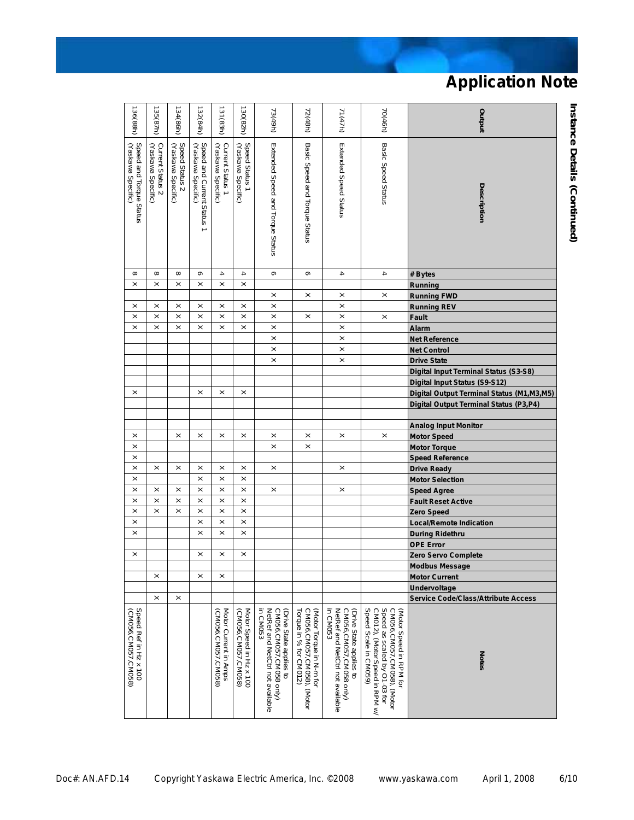| 136(88h)                                      | 135(87h)                               | 134(86h)                             | 132(84h)                                                                   | 131 (83h)                                   | 130(82h)                                       | 73(49h)                                                                                            | 72(48h)                                                                          | 71(47h)                                                                                           | 70(46h)                                                                                                                                          | putput                                       |
|-----------------------------------------------|----------------------------------------|--------------------------------------|----------------------------------------------------------------------------|---------------------------------------------|------------------------------------------------|----------------------------------------------------------------------------------------------------|----------------------------------------------------------------------------------|---------------------------------------------------------------------------------------------------|--------------------------------------------------------------------------------------------------------------------------------------------------|----------------------------------------------|
| Speed and Torque Status<br>(Yaskawa Specific) | Current Status 2<br>(Yaskawa Specific) | Speed Status 2<br>(Yaskawa Specific) | Speed and Current Status<br>(Yaskawa Specific)<br>$\overline{\phantom{0}}$ | Current Status 1<br>(Yaskawa Specific)      | Speed Status 1<br>(Yaskawa Specific)           | Extended Speed and Torque Status                                                                   | Basic Speed and Torque Status                                                    | Extended Speed Status                                                                             | Basic Speed Status                                                                                                                               | <b>Description</b>                           |
| $\infty$                                      | $\infty$                               | $\infty$                             | တ                                                                          | 4                                           | $\overline{\mathbf{4}}$                        | တ                                                                                                  | თ                                                                                | 4                                                                                                 | 4                                                                                                                                                | # Bytes                                      |
| $\times$                                      | $\times$                               | ×                                    | $\times$                                                                   | $\times$                                    | $\times$                                       |                                                                                                    |                                                                                  |                                                                                                   |                                                                                                                                                  | Running                                      |
|                                               |                                        |                                      |                                                                            |                                             |                                                | $\times$                                                                                           | $\times$                                                                         | $\times$                                                                                          | $\times$                                                                                                                                         | <b>Running FWD</b>                           |
| ×                                             | $\times$                               | $\times$                             | $\times$                                                                   | ×                                           | $\times$                                       | $\times$                                                                                           |                                                                                  | $\boldsymbol{\times}$                                                                             |                                                                                                                                                  | <b>Running REV</b>                           |
| $\times$                                      | $\times$                               | $\times$                             | $\times$                                                                   | $\times$                                    | ×                                              | $\times$                                                                                           | $\times$                                                                         | $\boldsymbol{\times}$                                                                             | $\pmb{\times}$                                                                                                                                   | <b>Fault</b>                                 |
| $\times$                                      | $\times$                               | $\times$                             | $\times$                                                                   | $\times$                                    | $\times$                                       | $\times$                                                                                           |                                                                                  | $\times$                                                                                          |                                                                                                                                                  | <b>Alarm</b>                                 |
|                                               |                                        |                                      |                                                                            |                                             |                                                | $\times$                                                                                           |                                                                                  | $\times$                                                                                          |                                                                                                                                                  | <b>Net Reference</b>                         |
|                                               |                                        |                                      |                                                                            |                                             |                                                | $\times$                                                                                           |                                                                                  | $\times$                                                                                          |                                                                                                                                                  | <b>Net Control</b>                           |
|                                               |                                        |                                      |                                                                            |                                             |                                                | $\times$                                                                                           |                                                                                  | $\times$                                                                                          |                                                                                                                                                  | <b>Drive State</b>                           |
|                                               |                                        |                                      |                                                                            |                                             |                                                |                                                                                                    |                                                                                  |                                                                                                   |                                                                                                                                                  | <b>Digital Input Terminal Status (S3-S8)</b> |
|                                               |                                        |                                      |                                                                            |                                             |                                                |                                                                                                    |                                                                                  |                                                                                                   |                                                                                                                                                  | Digital Input Status (S9-S12)                |
| ×                                             |                                        |                                      | $\boldsymbol{\times}$                                                      | ×                                           | ×                                              |                                                                                                    |                                                                                  |                                                                                                   |                                                                                                                                                  | Digital Output Terminal Status (M1, M3, M5)  |
|                                               |                                        |                                      |                                                                            |                                             |                                                |                                                                                                    |                                                                                  |                                                                                                   |                                                                                                                                                  | Digital Output Terminal Status (P3,P4)       |
|                                               |                                        |                                      |                                                                            |                                             |                                                |                                                                                                    |                                                                                  |                                                                                                   |                                                                                                                                                  |                                              |
|                                               |                                        |                                      |                                                                            |                                             |                                                |                                                                                                    |                                                                                  |                                                                                                   |                                                                                                                                                  | <b>Analog Input Monitor</b>                  |
| ×                                             |                                        | $\times$                             | $\boldsymbol{\times}$                                                      | $\times$                                    | ×                                              | $\boldsymbol{\times}$                                                                              | ×                                                                                | $\times$                                                                                          | $\pmb{\times}$                                                                                                                                   | <b>Motor Speed</b>                           |
| $\times$                                      |                                        |                                      |                                                                            |                                             |                                                | $\times$                                                                                           | $\times$                                                                         |                                                                                                   |                                                                                                                                                  | <b>Motor Torque</b>                          |
| $\times$                                      |                                        |                                      |                                                                            |                                             |                                                |                                                                                                    |                                                                                  |                                                                                                   |                                                                                                                                                  | <b>Speed Reference</b>                       |
| $\times$                                      | $\times$                               | $\boldsymbol{\times}$                | $\times$                                                                   | $\times$                                    | $\times$                                       | $\times$                                                                                           |                                                                                  | $\times$                                                                                          |                                                                                                                                                  | <b>Drive Ready</b>                           |
| ×                                             |                                        |                                      | $\times$                                                                   | $\times$                                    | ×                                              |                                                                                                    |                                                                                  |                                                                                                   |                                                                                                                                                  | <b>Motor Selection</b>                       |
| $\times$                                      | $\times$                               | $\boldsymbol{\times}$                | $\times$                                                                   | $\times$                                    | $\times$                                       | $\times$                                                                                           |                                                                                  | $\times$                                                                                          |                                                                                                                                                  | <b>Speed Agree</b>                           |
| $\times$                                      | $\times$                               | $\times$                             | $\times$                                                                   | $\times$                                    | $\times$                                       |                                                                                                    |                                                                                  |                                                                                                   |                                                                                                                                                  | <b>Fault Reset Active</b>                    |
| $\times$                                      | $\times$                               | $\times$                             | $\times$                                                                   | $\times$                                    | $\times$                                       |                                                                                                    |                                                                                  |                                                                                                   |                                                                                                                                                  | <b>Zero Speed</b>                            |
| $\times$                                      |                                        |                                      | $\times$                                                                   | $\times$                                    | $\times$                                       |                                                                                                    |                                                                                  |                                                                                                   |                                                                                                                                                  | <b>Local/Remote Indication</b>               |
| $\times$                                      |                                        |                                      | $\times$                                                                   | $\times$                                    | $\times$                                       |                                                                                                    |                                                                                  |                                                                                                   |                                                                                                                                                  | <b>During Ridethru</b>                       |
|                                               |                                        |                                      |                                                                            |                                             |                                                |                                                                                                    |                                                                                  |                                                                                                   |                                                                                                                                                  | <b>OPE Error</b>                             |
| ×                                             |                                        |                                      | ×                                                                          | ×                                           | $\times$                                       |                                                                                                    |                                                                                  |                                                                                                   |                                                                                                                                                  | Zero Servo Complete                          |
|                                               |                                        |                                      |                                                                            |                                             |                                                |                                                                                                    |                                                                                  |                                                                                                   |                                                                                                                                                  | <b>Modbus Message</b>                        |
|                                               | ×                                      |                                      | ×                                                                          | ×                                           |                                                |                                                                                                    |                                                                                  |                                                                                                   |                                                                                                                                                  | <b>Motor Current</b>                         |
|                                               |                                        |                                      |                                                                            |                                             |                                                |                                                                                                    |                                                                                  |                                                                                                   |                                                                                                                                                  | Undervoltage                                 |
|                                               | $\times$                               | ×                                    |                                                                            |                                             |                                                |                                                                                                    |                                                                                  |                                                                                                   |                                                                                                                                                  | <b>Service Code/Class/Attribute Access</b>   |
| Speed Ref in Hz x 100<br>(CM056,CM057,CM058)  |                                        |                                      |                                                                            | Motor Current in Amps<br>CM056,CM057,CM058) | Motor Speed in Hz x 100<br>(CM056,CM057,CM058) | (Drive State applies to<br>CM056,CM057,CM058 only)<br>NetRef and NetCtrl not available<br>in CM053 | CM056,CM057,CM058), (Motor<br>Torque in % for CM012)<br>(Motor Torque in N-m for | CM056,CM057,CM058 only)<br>NetRef and NetCtrl not available<br>in CM053<br>Drive State applies to | Speed as scaled by O1-03 for<br>Speed Scale in CM059)<br>CM012), (Motor Speed in RPM w/<br>CM056,CM057,CM058), (Motor<br>(Motor Speed in RPM for | Notes                                        |

**Instance Details (Continued)**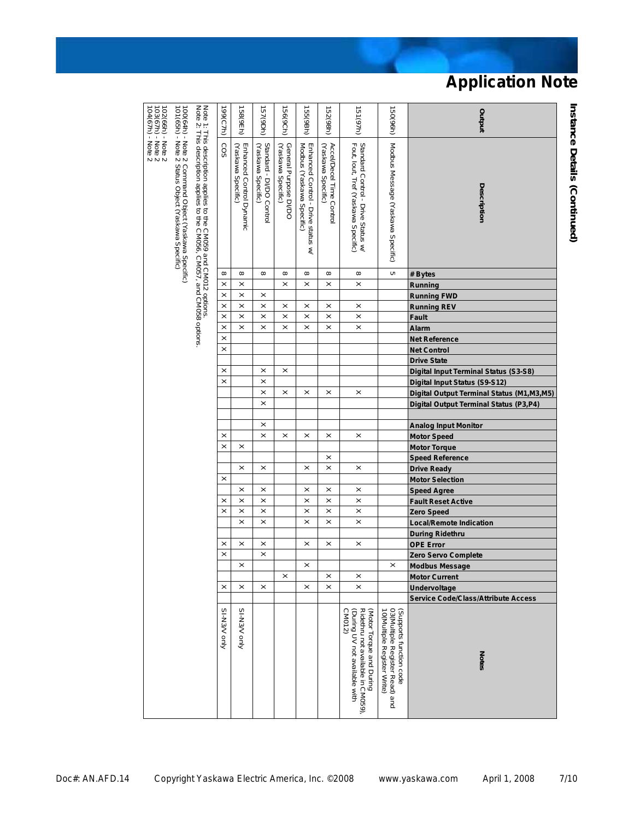| 100/64h) - Note 2 Command Object (Yaskawa Specific)<br>101/65h) - Note 2 Status Object (Yaskawa Specific)<br>Note 1: This description applies to the CM059 and CM012 options.<br>Note 2: This description applies to the CM056, CM057, and CM058<br>SO <sub>3</sub><br>Modbus Message (Yaskawa Specific)<br>Standard Control - Drive Status w/<br>Fout, Iout, Tref (Yaskawa Specific)<br>Enhanced Control Dynamic<br>(Yaskawa Specific)<br>Standard - DI/DO Control<br>General Purpose DI/DO<br>(Yaskawa Specific)<br>Enhanced Control - Drive status w/<br>Modbus (Yaskawa Specific)<br>Accel/Decel Time Control<br>(Yaskawa Specific)<br>(Yaskawa Specific)<br>Description<br>c<br>$^{\circ}$<br>$\infty$<br>$\infty$<br>$\infty$<br>$^{\circ}$<br>$\infty$<br>$\infty$<br># Bytes<br>$\times$<br>$\times$<br>$\times$<br>$\times$<br>$\times$<br>$\times$<br>Running<br>$\times$<br>$\times$<br>×<br><b>Running FWD</b><br>$\times$<br>$\times$<br>$\times$<br>×<br>×<br>×<br>$\times$<br><b>Running REV</b><br>$\times$<br>$\times$<br>$\times$<br>$\times$<br>$\times$<br>$\times$<br>$\times$<br>Fault<br>$\times$<br>$\times$<br>$\times$<br>$\times$<br>$\times$<br>$\times$<br>$\times$<br>Alarm<br>$\times$<br>Net Reference<br>$\times$<br><b>Net Control</b><br><b>Drive State</b><br>$\times$<br>×<br>$\times$<br>Digital Input Terminal Status (S3-S8)<br>$\times$<br>$\times$<br>Digital Input Status (S9-S12)<br>$\times$<br>×<br>$\times$<br>$\times$<br>$\times$<br>Digital Output Terminal Status (M1,M3,M5)<br>$\times$<br>Digital Output Terminal Status (P3,P4)<br>$\times$<br><b>Analog Input Monitor</b><br>$\times$<br>$\times$<br>$\times$<br>×<br>$\times$<br>$\times$<br><b>Motor Speed</b><br>$\times$<br>$\times$<br><b>Motor Torque</b><br>$\times$<br><b>Speed Reference</b><br>$\times$<br>$\times$<br>$\times$<br>$\times$<br>$\times$<br><b>Drive Ready</b><br>$\times$<br><b>Motor Selection</b><br>$\times$<br>$\times$<br>$\times$<br>$\times$<br>$\times$<br><b>Speed Agree</b><br>$\times$<br>$\times$<br>$\times$<br>$\times$<br>×<br>$\times$<br><b>Fault Reset Active</b><br>$\times$<br>$\times$<br>$\times$<br>$\times$<br>$\times$<br>$\times$<br><b>Zero Speed</b><br>$\times$<br>$\times$<br>$\times$<br>$\times$<br>$\times$<br><b>Local/Remote Indication</b><br><b>During Ridethru</b><br>$\times$<br>$\times$<br>$\times$<br>$\times$<br>$\times$<br>$\times$<br>OPE Error<br>$\times$<br>$\times$<br>Zero Servo Complete<br>$\times$<br>×<br>$\times$<br><b>Modbus Message</b><br>×<br>×<br>×<br><b>Motor Current</b><br>$\times$<br>$\times$<br>$\times$<br>$\times$<br>$\times$<br>$\times$<br>Undervoltage<br><b>Service Code/Class/Attribute Access</b><br>SI-N3/V only<br>SI-N3/V only<br>(Supports function code<br>03 (Multiple Register Read) and<br>Ridethru not available in CM059),<br>(During UV not available with<br>CM012)<br>(Motor Torque and During<br>10 (Multiple Register Write)<br><b>Notes</b> | 102(66h) - Note 2<br>103(67h) - Note 2<br>104(67h) - Note 2 |  | 199(C7h) | 158(9Eh) | 157(9Dh) | 156(9Ch) | 155 (9Bh) | 152(98h) | 151 (97h) | (150(96h) | putput |
|----------------------------------------------------------------------------------------------------------------------------------------------------------------------------------------------------------------------------------------------------------------------------------------------------------------------------------------------------------------------------------------------------------------------------------------------------------------------------------------------------------------------------------------------------------------------------------------------------------------------------------------------------------------------------------------------------------------------------------------------------------------------------------------------------------------------------------------------------------------------------------------------------------------------------------------------------------------------------------------------------------------------------------------------------------------------------------------------------------------------------------------------------------------------------------------------------------------------------------------------------------------------------------------------------------------------------------------------------------------------------------------------------------------------------------------------------------------------------------------------------------------------------------------------------------------------------------------------------------------------------------------------------------------------------------------------------------------------------------------------------------------------------------------------------------------------------------------------------------------------------------------------------------------------------------------------------------------------------------------------------------------------------------------------------------------------------------------------------------------------------------------------------------------------------------------------------------------------------------------------------------------------------------------------------------------------------------------------------------------------------------------------------------------------------------------------------------------------------------------------------------------------------------------------------------------------------------------------------------------------------------------------------------------------------------------------------------------------------------------------------------------------------------------------------------------------------------------------------------------------------------------------------------------------------------------------------------------------------|-------------------------------------------------------------|--|----------|----------|----------|----------|-----------|----------|-----------|-----------|--------|
|                                                                                                                                                                                                                                                                                                                                                                                                                                                                                                                                                                                                                                                                                                                                                                                                                                                                                                                                                                                                                                                                                                                                                                                                                                                                                                                                                                                                                                                                                                                                                                                                                                                                                                                                                                                                                                                                                                                                                                                                                                                                                                                                                                                                                                                                                                                                                                                                                                                                                                                                                                                                                                                                                                                                                                                                                                                                                                                                                                            |                                                             |  |          |          |          |          |           |          |           |           |        |
|                                                                                                                                                                                                                                                                                                                                                                                                                                                                                                                                                                                                                                                                                                                                                                                                                                                                                                                                                                                                                                                                                                                                                                                                                                                                                                                                                                                                                                                                                                                                                                                                                                                                                                                                                                                                                                                                                                                                                                                                                                                                                                                                                                                                                                                                                                                                                                                                                                                                                                                                                                                                                                                                                                                                                                                                                                                                                                                                                                            |                                                             |  |          |          |          |          |           |          |           |           |        |
|                                                                                                                                                                                                                                                                                                                                                                                                                                                                                                                                                                                                                                                                                                                                                                                                                                                                                                                                                                                                                                                                                                                                                                                                                                                                                                                                                                                                                                                                                                                                                                                                                                                                                                                                                                                                                                                                                                                                                                                                                                                                                                                                                                                                                                                                                                                                                                                                                                                                                                                                                                                                                                                                                                                                                                                                                                                                                                                                                                            |                                                             |  |          |          |          |          |           |          |           |           |        |
|                                                                                                                                                                                                                                                                                                                                                                                                                                                                                                                                                                                                                                                                                                                                                                                                                                                                                                                                                                                                                                                                                                                                                                                                                                                                                                                                                                                                                                                                                                                                                                                                                                                                                                                                                                                                                                                                                                                                                                                                                                                                                                                                                                                                                                                                                                                                                                                                                                                                                                                                                                                                                                                                                                                                                                                                                                                                                                                                                                            |                                                             |  |          |          |          |          |           |          |           |           |        |
|                                                                                                                                                                                                                                                                                                                                                                                                                                                                                                                                                                                                                                                                                                                                                                                                                                                                                                                                                                                                                                                                                                                                                                                                                                                                                                                                                                                                                                                                                                                                                                                                                                                                                                                                                                                                                                                                                                                                                                                                                                                                                                                                                                                                                                                                                                                                                                                                                                                                                                                                                                                                                                                                                                                                                                                                                                                                                                                                                                            |                                                             |  |          |          |          |          |           |          |           |           |        |
|                                                                                                                                                                                                                                                                                                                                                                                                                                                                                                                                                                                                                                                                                                                                                                                                                                                                                                                                                                                                                                                                                                                                                                                                                                                                                                                                                                                                                                                                                                                                                                                                                                                                                                                                                                                                                                                                                                                                                                                                                                                                                                                                                                                                                                                                                                                                                                                                                                                                                                                                                                                                                                                                                                                                                                                                                                                                                                                                                                            |                                                             |  |          |          |          |          |           |          |           |           |        |
|                                                                                                                                                                                                                                                                                                                                                                                                                                                                                                                                                                                                                                                                                                                                                                                                                                                                                                                                                                                                                                                                                                                                                                                                                                                                                                                                                                                                                                                                                                                                                                                                                                                                                                                                                                                                                                                                                                                                                                                                                                                                                                                                                                                                                                                                                                                                                                                                                                                                                                                                                                                                                                                                                                                                                                                                                                                                                                                                                                            |                                                             |  |          |          |          |          |           |          |           |           |        |
|                                                                                                                                                                                                                                                                                                                                                                                                                                                                                                                                                                                                                                                                                                                                                                                                                                                                                                                                                                                                                                                                                                                                                                                                                                                                                                                                                                                                                                                                                                                                                                                                                                                                                                                                                                                                                                                                                                                                                                                                                                                                                                                                                                                                                                                                                                                                                                                                                                                                                                                                                                                                                                                                                                                                                                                                                                                                                                                                                                            |                                                             |  |          |          |          |          |           |          |           |           |        |
|                                                                                                                                                                                                                                                                                                                                                                                                                                                                                                                                                                                                                                                                                                                                                                                                                                                                                                                                                                                                                                                                                                                                                                                                                                                                                                                                                                                                                                                                                                                                                                                                                                                                                                                                                                                                                                                                                                                                                                                                                                                                                                                                                                                                                                                                                                                                                                                                                                                                                                                                                                                                                                                                                                                                                                                                                                                                                                                                                                            |                                                             |  |          |          |          |          |           |          |           |           |        |
|                                                                                                                                                                                                                                                                                                                                                                                                                                                                                                                                                                                                                                                                                                                                                                                                                                                                                                                                                                                                                                                                                                                                                                                                                                                                                                                                                                                                                                                                                                                                                                                                                                                                                                                                                                                                                                                                                                                                                                                                                                                                                                                                                                                                                                                                                                                                                                                                                                                                                                                                                                                                                                                                                                                                                                                                                                                                                                                                                                            |                                                             |  |          |          |          |          |           |          |           |           |        |
|                                                                                                                                                                                                                                                                                                                                                                                                                                                                                                                                                                                                                                                                                                                                                                                                                                                                                                                                                                                                                                                                                                                                                                                                                                                                                                                                                                                                                                                                                                                                                                                                                                                                                                                                                                                                                                                                                                                                                                                                                                                                                                                                                                                                                                                                                                                                                                                                                                                                                                                                                                                                                                                                                                                                                                                                                                                                                                                                                                            |                                                             |  |          |          |          |          |           |          |           |           |        |
|                                                                                                                                                                                                                                                                                                                                                                                                                                                                                                                                                                                                                                                                                                                                                                                                                                                                                                                                                                                                                                                                                                                                                                                                                                                                                                                                                                                                                                                                                                                                                                                                                                                                                                                                                                                                                                                                                                                                                                                                                                                                                                                                                                                                                                                                                                                                                                                                                                                                                                                                                                                                                                                                                                                                                                                                                                                                                                                                                                            |                                                             |  |          |          |          |          |           |          |           |           |        |
|                                                                                                                                                                                                                                                                                                                                                                                                                                                                                                                                                                                                                                                                                                                                                                                                                                                                                                                                                                                                                                                                                                                                                                                                                                                                                                                                                                                                                                                                                                                                                                                                                                                                                                                                                                                                                                                                                                                                                                                                                                                                                                                                                                                                                                                                                                                                                                                                                                                                                                                                                                                                                                                                                                                                                                                                                                                                                                                                                                            |                                                             |  |          |          |          |          |           |          |           |           |        |
|                                                                                                                                                                                                                                                                                                                                                                                                                                                                                                                                                                                                                                                                                                                                                                                                                                                                                                                                                                                                                                                                                                                                                                                                                                                                                                                                                                                                                                                                                                                                                                                                                                                                                                                                                                                                                                                                                                                                                                                                                                                                                                                                                                                                                                                                                                                                                                                                                                                                                                                                                                                                                                                                                                                                                                                                                                                                                                                                                                            |                                                             |  |          |          |          |          |           |          |           |           |        |
|                                                                                                                                                                                                                                                                                                                                                                                                                                                                                                                                                                                                                                                                                                                                                                                                                                                                                                                                                                                                                                                                                                                                                                                                                                                                                                                                                                                                                                                                                                                                                                                                                                                                                                                                                                                                                                                                                                                                                                                                                                                                                                                                                                                                                                                                                                                                                                                                                                                                                                                                                                                                                                                                                                                                                                                                                                                                                                                                                                            |                                                             |  |          |          |          |          |           |          |           |           |        |
|                                                                                                                                                                                                                                                                                                                                                                                                                                                                                                                                                                                                                                                                                                                                                                                                                                                                                                                                                                                                                                                                                                                                                                                                                                                                                                                                                                                                                                                                                                                                                                                                                                                                                                                                                                                                                                                                                                                                                                                                                                                                                                                                                                                                                                                                                                                                                                                                                                                                                                                                                                                                                                                                                                                                                                                                                                                                                                                                                                            |                                                             |  |          |          |          |          |           |          |           |           |        |
|                                                                                                                                                                                                                                                                                                                                                                                                                                                                                                                                                                                                                                                                                                                                                                                                                                                                                                                                                                                                                                                                                                                                                                                                                                                                                                                                                                                                                                                                                                                                                                                                                                                                                                                                                                                                                                                                                                                                                                                                                                                                                                                                                                                                                                                                                                                                                                                                                                                                                                                                                                                                                                                                                                                                                                                                                                                                                                                                                                            |                                                             |  |          |          |          |          |           |          |           |           |        |
|                                                                                                                                                                                                                                                                                                                                                                                                                                                                                                                                                                                                                                                                                                                                                                                                                                                                                                                                                                                                                                                                                                                                                                                                                                                                                                                                                                                                                                                                                                                                                                                                                                                                                                                                                                                                                                                                                                                                                                                                                                                                                                                                                                                                                                                                                                                                                                                                                                                                                                                                                                                                                                                                                                                                                                                                                                                                                                                                                                            |                                                             |  |          |          |          |          |           |          |           |           |        |
|                                                                                                                                                                                                                                                                                                                                                                                                                                                                                                                                                                                                                                                                                                                                                                                                                                                                                                                                                                                                                                                                                                                                                                                                                                                                                                                                                                                                                                                                                                                                                                                                                                                                                                                                                                                                                                                                                                                                                                                                                                                                                                                                                                                                                                                                                                                                                                                                                                                                                                                                                                                                                                                                                                                                                                                                                                                                                                                                                                            |                                                             |  |          |          |          |          |           |          |           |           |        |
|                                                                                                                                                                                                                                                                                                                                                                                                                                                                                                                                                                                                                                                                                                                                                                                                                                                                                                                                                                                                                                                                                                                                                                                                                                                                                                                                                                                                                                                                                                                                                                                                                                                                                                                                                                                                                                                                                                                                                                                                                                                                                                                                                                                                                                                                                                                                                                                                                                                                                                                                                                                                                                                                                                                                                                                                                                                                                                                                                                            |                                                             |  |          |          |          |          |           |          |           |           |        |
|                                                                                                                                                                                                                                                                                                                                                                                                                                                                                                                                                                                                                                                                                                                                                                                                                                                                                                                                                                                                                                                                                                                                                                                                                                                                                                                                                                                                                                                                                                                                                                                                                                                                                                                                                                                                                                                                                                                                                                                                                                                                                                                                                                                                                                                                                                                                                                                                                                                                                                                                                                                                                                                                                                                                                                                                                                                                                                                                                                            |                                                             |  |          |          |          |          |           |          |           |           |        |
|                                                                                                                                                                                                                                                                                                                                                                                                                                                                                                                                                                                                                                                                                                                                                                                                                                                                                                                                                                                                                                                                                                                                                                                                                                                                                                                                                                                                                                                                                                                                                                                                                                                                                                                                                                                                                                                                                                                                                                                                                                                                                                                                                                                                                                                                                                                                                                                                                                                                                                                                                                                                                                                                                                                                                                                                                                                                                                                                                                            |                                                             |  |          |          |          |          |           |          |           |           |        |
|                                                                                                                                                                                                                                                                                                                                                                                                                                                                                                                                                                                                                                                                                                                                                                                                                                                                                                                                                                                                                                                                                                                                                                                                                                                                                                                                                                                                                                                                                                                                                                                                                                                                                                                                                                                                                                                                                                                                                                                                                                                                                                                                                                                                                                                                                                                                                                                                                                                                                                                                                                                                                                                                                                                                                                                                                                                                                                                                                                            |                                                             |  |          |          |          |          |           |          |           |           |        |
|                                                                                                                                                                                                                                                                                                                                                                                                                                                                                                                                                                                                                                                                                                                                                                                                                                                                                                                                                                                                                                                                                                                                                                                                                                                                                                                                                                                                                                                                                                                                                                                                                                                                                                                                                                                                                                                                                                                                                                                                                                                                                                                                                                                                                                                                                                                                                                                                                                                                                                                                                                                                                                                                                                                                                                                                                                                                                                                                                                            |                                                             |  |          |          |          |          |           |          |           |           |        |
|                                                                                                                                                                                                                                                                                                                                                                                                                                                                                                                                                                                                                                                                                                                                                                                                                                                                                                                                                                                                                                                                                                                                                                                                                                                                                                                                                                                                                                                                                                                                                                                                                                                                                                                                                                                                                                                                                                                                                                                                                                                                                                                                                                                                                                                                                                                                                                                                                                                                                                                                                                                                                                                                                                                                                                                                                                                                                                                                                                            |                                                             |  |          |          |          |          |           |          |           |           |        |
|                                                                                                                                                                                                                                                                                                                                                                                                                                                                                                                                                                                                                                                                                                                                                                                                                                                                                                                                                                                                                                                                                                                                                                                                                                                                                                                                                                                                                                                                                                                                                                                                                                                                                                                                                                                                                                                                                                                                                                                                                                                                                                                                                                                                                                                                                                                                                                                                                                                                                                                                                                                                                                                                                                                                                                                                                                                                                                                                                                            |                                                             |  |          |          |          |          |           |          |           |           |        |
|                                                                                                                                                                                                                                                                                                                                                                                                                                                                                                                                                                                                                                                                                                                                                                                                                                                                                                                                                                                                                                                                                                                                                                                                                                                                                                                                                                                                                                                                                                                                                                                                                                                                                                                                                                                                                                                                                                                                                                                                                                                                                                                                                                                                                                                                                                                                                                                                                                                                                                                                                                                                                                                                                                                                                                                                                                                                                                                                                                            |                                                             |  |          |          |          |          |           |          |           |           |        |
|                                                                                                                                                                                                                                                                                                                                                                                                                                                                                                                                                                                                                                                                                                                                                                                                                                                                                                                                                                                                                                                                                                                                                                                                                                                                                                                                                                                                                                                                                                                                                                                                                                                                                                                                                                                                                                                                                                                                                                                                                                                                                                                                                                                                                                                                                                                                                                                                                                                                                                                                                                                                                                                                                                                                                                                                                                                                                                                                                                            |                                                             |  |          |          |          |          |           |          |           |           |        |
|                                                                                                                                                                                                                                                                                                                                                                                                                                                                                                                                                                                                                                                                                                                                                                                                                                                                                                                                                                                                                                                                                                                                                                                                                                                                                                                                                                                                                                                                                                                                                                                                                                                                                                                                                                                                                                                                                                                                                                                                                                                                                                                                                                                                                                                                                                                                                                                                                                                                                                                                                                                                                                                                                                                                                                                                                                                                                                                                                                            |                                                             |  |          |          |          |          |           |          |           |           |        |
|                                                                                                                                                                                                                                                                                                                                                                                                                                                                                                                                                                                                                                                                                                                                                                                                                                                                                                                                                                                                                                                                                                                                                                                                                                                                                                                                                                                                                                                                                                                                                                                                                                                                                                                                                                                                                                                                                                                                                                                                                                                                                                                                                                                                                                                                                                                                                                                                                                                                                                                                                                                                                                                                                                                                                                                                                                                                                                                                                                            |                                                             |  |          |          |          |          |           |          |           |           |        |
|                                                                                                                                                                                                                                                                                                                                                                                                                                                                                                                                                                                                                                                                                                                                                                                                                                                                                                                                                                                                                                                                                                                                                                                                                                                                                                                                                                                                                                                                                                                                                                                                                                                                                                                                                                                                                                                                                                                                                                                                                                                                                                                                                                                                                                                                                                                                                                                                                                                                                                                                                                                                                                                                                                                                                                                                                                                                                                                                                                            |                                                             |  |          |          |          |          |           |          |           |           |        |
|                                                                                                                                                                                                                                                                                                                                                                                                                                                                                                                                                                                                                                                                                                                                                                                                                                                                                                                                                                                                                                                                                                                                                                                                                                                                                                                                                                                                                                                                                                                                                                                                                                                                                                                                                                                                                                                                                                                                                                                                                                                                                                                                                                                                                                                                                                                                                                                                                                                                                                                                                                                                                                                                                                                                                                                                                                                                                                                                                                            |                                                             |  |          |          |          |          |           |          |           |           |        |
|                                                                                                                                                                                                                                                                                                                                                                                                                                                                                                                                                                                                                                                                                                                                                                                                                                                                                                                                                                                                                                                                                                                                                                                                                                                                                                                                                                                                                                                                                                                                                                                                                                                                                                                                                                                                                                                                                                                                                                                                                                                                                                                                                                                                                                                                                                                                                                                                                                                                                                                                                                                                                                                                                                                                                                                                                                                                                                                                                                            |                                                             |  |          |          |          |          |           |          |           |           |        |
|                                                                                                                                                                                                                                                                                                                                                                                                                                                                                                                                                                                                                                                                                                                                                                                                                                                                                                                                                                                                                                                                                                                                                                                                                                                                                                                                                                                                                                                                                                                                                                                                                                                                                                                                                                                                                                                                                                                                                                                                                                                                                                                                                                                                                                                                                                                                                                                                                                                                                                                                                                                                                                                                                                                                                                                                                                                                                                                                                                            |                                                             |  |          |          |          |          |           |          |           |           |        |

**Instance Details (Continued)** 

Doc#: AN.AFD.14 Copyright Yaskawa Electric America, Inc. ©2008 www.yaskawa.com April 1, 2008 7/10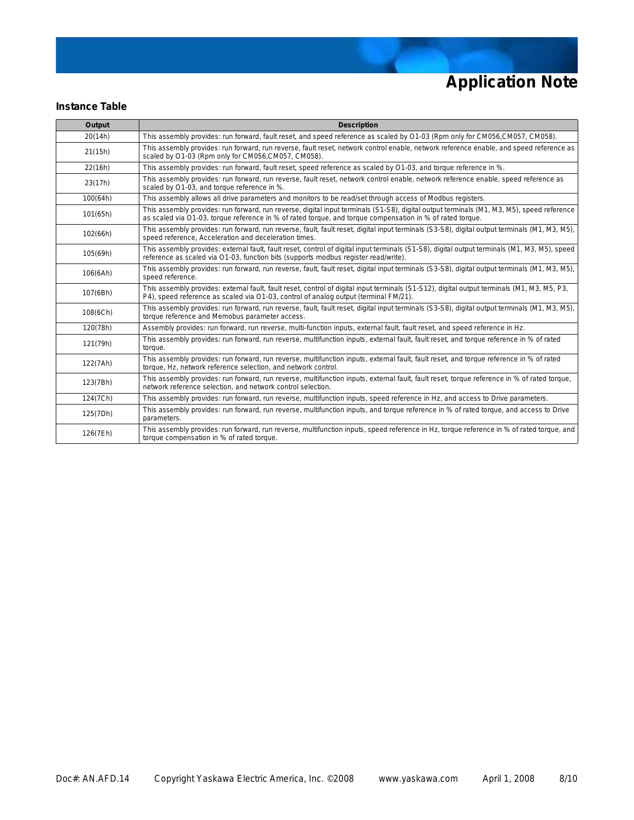#### **Instance Table**

| Output   | <b>Description</b>                                                                                                                                                                                                                                     |
|----------|--------------------------------------------------------------------------------------------------------------------------------------------------------------------------------------------------------------------------------------------------------|
| 20(14h)  | This assembly provides: run forward, fault reset, and speed reference as scaled by O1-03 (Rpm only for CM056,CM057, CM058).                                                                                                                            |
| 21(15h)  | This assembly provides: run forward, run reverse, fault reset, network control enable, network reference enable, and speed reference as<br>scaled by O1-03 (Rpm only for CM056, CM057, CM058).                                                         |
| 22(16h)  | This assembly provides: run forward, fault reset, speed reference as scaled by O1-03, and torque reference in %.                                                                                                                                       |
| 23(17h)  | This assembly provides: run forward, run reverse, fault reset, network control enable, network reference enable, speed reference as<br>scaled by O1-03, and torque reference in %.                                                                     |
| 100(64h) | This assembly allows all drive parameters and monitors to be read/set through access of Modbus registers.                                                                                                                                              |
| 101(65h) | This assembly provides: run forward, run reverse, digital input terminals (S1-S8), digital output terminals (M1, M3, M5), speed reference<br>as scaled via O1-03, torque reference in % of rated torque, and torque compensation in % of rated torque. |
| 102(66h) | This assembly provides: run forward, run reverse, fault, fault reset, digital input terminals (S3-S8), digital output terminals (M1, M3, M5),<br>speed reference, Acceleration and deceleration times.                                                 |
| 105(69h) | This assembly provides: external fault, fault reset, control of digital input terminals (S1-S8), digital output terminals (M1, M3, M5), speed<br>reference as scaled via O1-03, function bits (supports modbus register read/write).                   |
| 106(6Ah) | This assembly provides: run forward, run reverse, fault, fault reset, digital input terminals (S3-S8), digital output terminals (M1, M3, M5),<br>speed reference.                                                                                      |
| 107(6Bh) | This assembly provides: external fault, fault reset, control of digital input terminals (S1-S12), digital output terminals (M1, M3, M5, P3,<br>P4), speed reference as scaled via O1-03, control of analog output (terminal FM/21).                    |
| 108(6Ch) | This assembly provides: run forward, run reverse, fault, fault reset, digital input terminals (S3-S8), digital output terminals (M1, M3, M5),<br>torque reference and Memobus parameter access.                                                        |
| 120(78h) | Assembly provides: run forward, run reverse, multi-function inputs, external fault, fault reset, and speed reference in Hz.                                                                                                                            |
| 121(79h) | This assembly provides: run forward, run reverse, multifunction inputs, external fault, fault reset, and torque reference in % of rated<br>torque.                                                                                                     |
| 122(7Ah) | This assembly provides: run forward, run reverse, multifunction inputs, external fault, fault reset, and torque reference in % of rated<br>torque, Hz, network reference selection, and network control.                                               |
| 123(7Bh) | This assembly provides: run forward, run reverse, multifunction inputs, external fault, fault reset, torque reference in % of rated torque,<br>network reference selection, and network control selection.                                             |
| 124(7Ch) | This assembly provides: run forward, run reverse, multifunction inputs, speed reference in Hz, and access to Drive parameters.                                                                                                                         |
| 125(7Dh) | This assembly provides: run forward, run reverse, multifunction inputs, and torque reference in % of rated torque, and access to Drive<br>parameters.                                                                                                  |
| 126(7Eh) | This assembly provides: run forward, run reverse, multifunction inputs, speed reference in Hz, torque reference in % of rated torque, and<br>torque compensation in % of rated torque.                                                                 |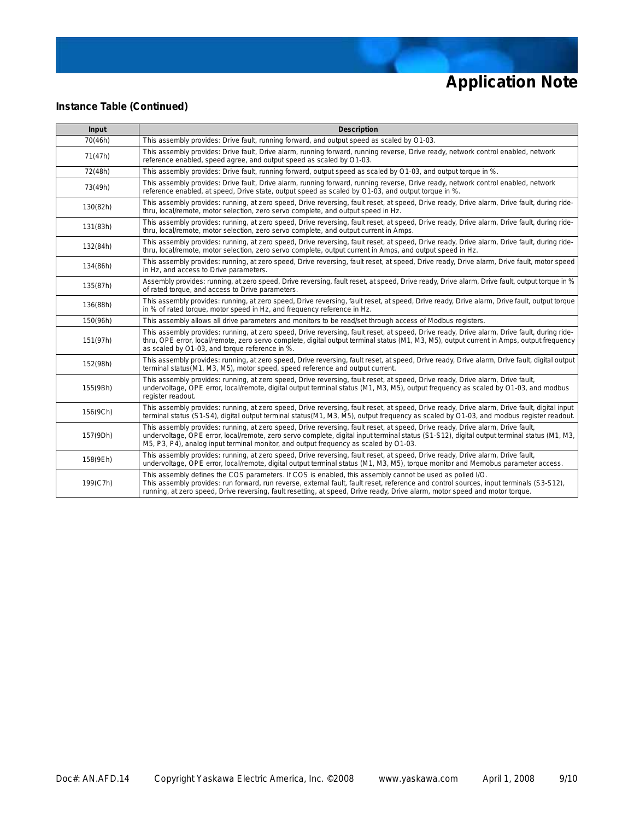### **Instance Table (Continued)**

| Input    | <b>Description</b>                                                                                                                                                                                                                                                                                                                                                                 |
|----------|------------------------------------------------------------------------------------------------------------------------------------------------------------------------------------------------------------------------------------------------------------------------------------------------------------------------------------------------------------------------------------|
| 70(46h)  | This assembly provides: Drive fault, running forward, and output speed as scaled by O1-03.                                                                                                                                                                                                                                                                                         |
| 71(47h)  | This assembly provides: Drive fault, Drive alarm, running forward, running reverse, Drive ready, network control enabled, network<br>reference enabled, speed agree, and output speed as scaled by O1-03.                                                                                                                                                                          |
| 72(48h)  | This assembly provides: Drive fault, running forward, output speed as scaled by O1-03, and output torque in %.                                                                                                                                                                                                                                                                     |
| 73(49h)  | This assembly provides: Drive fault, Drive alarm, running forward, running reverse, Drive ready, network control enabled, network<br>reference enabled, at speed, Drive state, output speed as scaled by O1-03, and output torque in %.                                                                                                                                            |
| 130(82h) | This assembly provides: running, at zero speed, Drive reversing, fault reset, at speed, Drive ready, Drive alarm, Drive fault, during ride-<br>thru, local/remote, motor selection, zero servo complete, and output speed in Hz.                                                                                                                                                   |
| 131(83h) | This assembly provides: running, at zero speed, Drive reversing, fault reset, at speed, Drive ready, Drive alarm, Drive fault, during ride-<br>thru, local/remote, motor selection, zero servo complete, and output current in Amps.                                                                                                                                               |
| 132(84h) | This assembly provides: running, at zero speed, Drive reversing, fault reset, at speed, Drive ready, Drive alarm, Drive fault, during ride-<br>thru, local/remote, motor selection, zero servo complete, output current in Amps, and output speed in Hz.                                                                                                                           |
| 134(86h) | This assembly provides: running, at zero speed, Drive reversing, fault reset, at speed, Drive ready, Drive alarm, Drive fault, motor speed<br>in Hz, and access to Drive parameters.                                                                                                                                                                                               |
| 135(87h) | Assembly provides: running, at zero speed, Drive reversing, fault reset, at speed, Drive ready, Drive alarm, Drive fault, output torque in %<br>of rated torque, and access to Drive parameters.                                                                                                                                                                                   |
| 136(88h) | This assembly provides: running, at zero speed, Drive reversing, fault reset, at speed, Drive ready, Drive alarm, Drive fault, output torque<br>in % of rated torque, motor speed in Hz, and frequency reference in Hz.                                                                                                                                                            |
| 150(96h) | This assembly allows all drive parameters and monitors to be read/set through access of Modbus registers.                                                                                                                                                                                                                                                                          |
| 151(97h) | This assembly provides: running, at zero speed, Drive reversing, fault reset, at speed, Drive ready, Drive alarm, Drive fault, during ride-<br>thru, OPE error, local/remote, zero servo complete, digital output terminal status (M1, M3, M5), output current in Amps, output frequency<br>as scaled by O1-03, and torque reference in %.                                         |
| 152(98h) | This assembly provides: running, at zero speed, Drive reversing, fault reset, at speed, Drive ready, Drive alarm, Drive fault, digital output<br>terminal status(M1, M3, M5), motor speed, speed reference and output current.                                                                                                                                                     |
| 155(9Bh) | This assembly provides: running, at zero speed, Drive reversing, fault reset, at speed, Drive ready, Drive alarm, Drive fault,<br>undervoltage, OPE error, local/remote, digital output terminal status (M1, M3, M5), output frequency as scaled by O1-03, and modbus<br>register readout.                                                                                         |
| 156(9Ch) | This assembly provides: running, at zero speed, Drive reversing, fault reset, at speed, Drive ready, Drive alarm, Drive fault, digital input<br>terminal status (S1-S4), digital output terminal status(M1, M3, M5), output frequency as scaled by O1-03, and modbus register readout.                                                                                             |
| 157(9Dh) | This assembly provides: running, at zero speed, Drive reversing, fault reset, at speed, Drive ready, Drive alarm, Drive fault,<br>undervoltage, OPE error, local/remote, zero servo complete, digital input terminal status (S1-S12), digital output terminal status (M1, M3,<br>M5, P3, P4), analog input terminal monitor, and output frequency as scaled by O1-03.              |
| 158(9Eh) | This assembly provides: running, at zero speed, Drive reversing, fault reset, at speed, Drive ready, Drive alarm, Drive fault,<br>undervoltage, OPE error, local/remote, digital output terminal status (M1, M3, M5), torque monitor and Memobus parameter access.                                                                                                                 |
| 199(C7h) | This assembly defines the COS parameters. If COS is enabled, this assembly cannot be used as polled I/O.<br>This assembly provides: run forward, run reverse, external fault, fault reset, reference and control sources, input terminals (S3-S12),<br>running, at zero speed, Drive reversing, fault resetting, at speed, Drive ready, Drive alarm, motor speed and motor torque. |